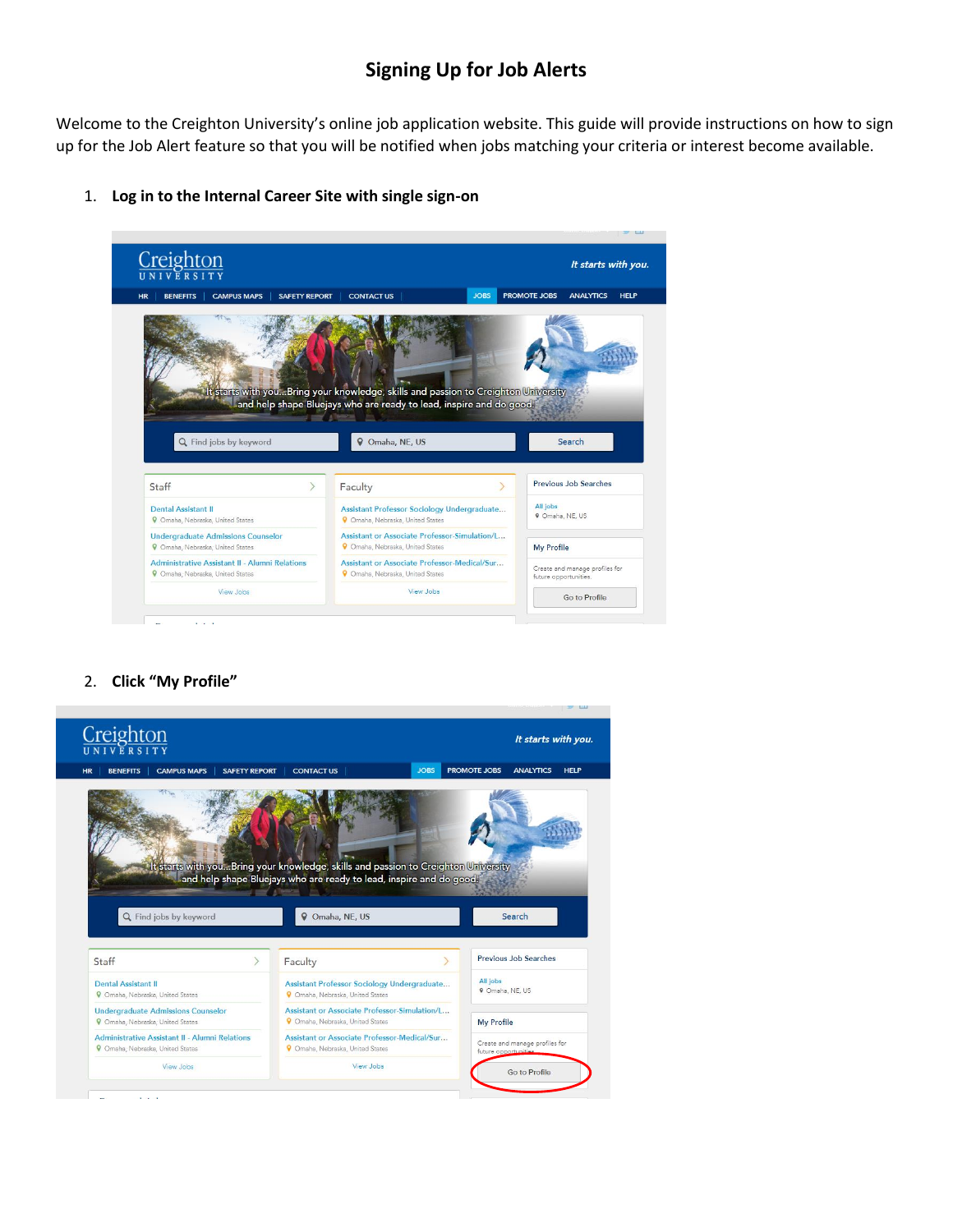## **Signing Up for Job Alerts**

Welcome to the Creighton University's online job application website. This guide will provide instructions on how to sign up for the Job Alert feature so that you will be notified when jobs matching your criteria or interest become available.



1. **Log in to the Internal Career Site with single sign-on**

## 2. **Click "My Profile"**

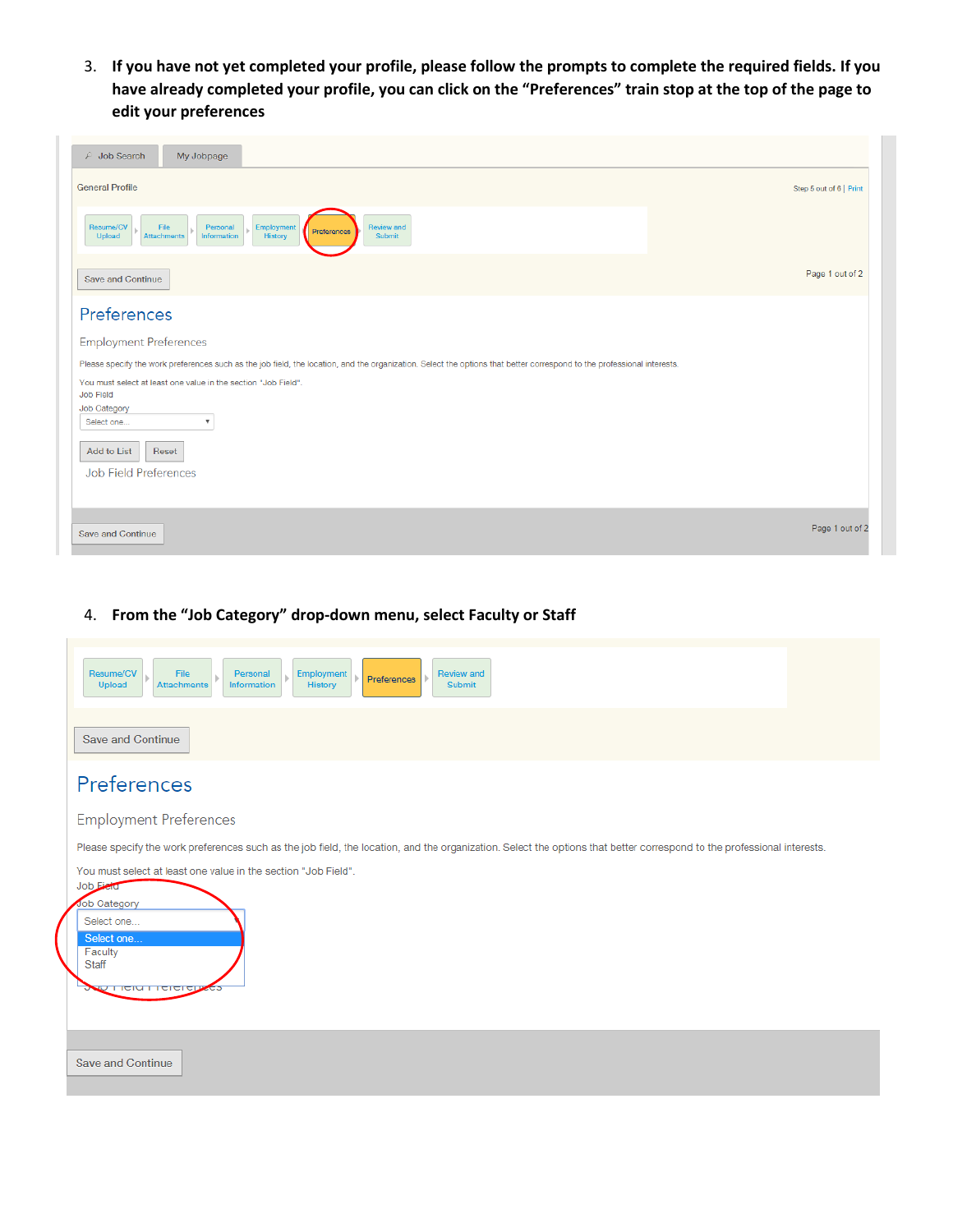3. **If you have not yet completed your profile, please follow the prompts to complete the required fields. If you have already completed your profile, you can click on the "Preferences" train stop at the top of the page to edit your preferences**

| $\sqrt{p}$ Job Search<br>My Jobpage                                                                                                                                     |                         |
|-------------------------------------------------------------------------------------------------------------------------------------------------------------------------|-------------------------|
| <b>General Profile</b>                                                                                                                                                  | Step 5 out of 6   Print |
| Resume/CV<br>File<br>Personal<br>Employment<br><b>Review and</b><br>Preferences<br><b>History</b><br><b>Upload</b><br><b>Attachments</b><br>Information<br>Submit       |                         |
| Save and Continue                                                                                                                                                       | Page 1 out of 2         |
| Preferences                                                                                                                                                             |                         |
| <b>Employment Preferences</b>                                                                                                                                           |                         |
| Please specify the work preferences such as the job field, the location, and the organization. Select the options that better correspond to the professional interests. |                         |
| You must select at least one value in the section "Job Field".<br>Job Field                                                                                             |                         |
| Job Category                                                                                                                                                            |                         |
| Select one<br>$\overline{\mathbf{v}}$                                                                                                                                   |                         |
| Add to List<br>Reset                                                                                                                                                    |                         |
| Job Field Preferences                                                                                                                                                   |                         |
|                                                                                                                                                                         |                         |
|                                                                                                                                                                         |                         |
| Save and Continue                                                                                                                                                       | Page 1 out of 2         |

4. **From the "Job Category" drop-down menu, select Faculty or Staff**

| Resume/CV<br>File<br>Review and<br>Personal<br>Employment<br>Preferences<br>History<br>Information<br>Submit<br>Upload<br><b>Attachments</b>                            |
|-------------------------------------------------------------------------------------------------------------------------------------------------------------------------|
| <b>Save and Continue</b>                                                                                                                                                |
| Preferences                                                                                                                                                             |
| <b>Employment Preferences</b>                                                                                                                                           |
| Please specify the work preferences such as the job field, the location, and the organization. Select the options that better correspond to the professional interests. |
| You must select at least one value in the section "Job Field".<br>Job Field                                                                                             |
| Job Category                                                                                                                                                            |
| Select one<br>Select one                                                                                                                                                |
| Faculty<br>Staff                                                                                                                                                        |
| <b>WUTTER FIGIGICIT</b>                                                                                                                                                 |
|                                                                                                                                                                         |
| <b>Save and Continue</b>                                                                                                                                                |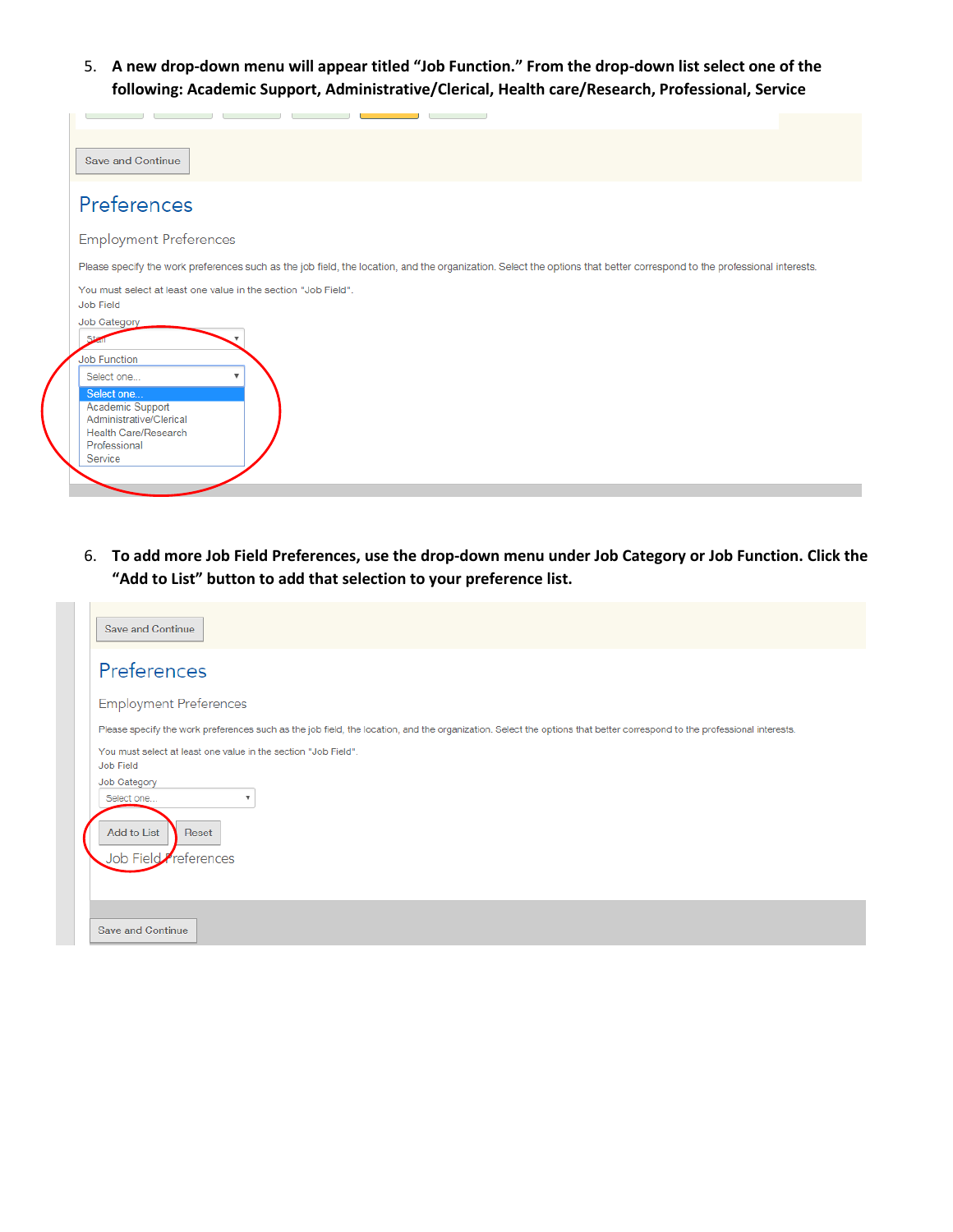5. **A new drop-down menu will appear titled "Job Function." From the drop-down list select one of the following: Academic Support, Administrative/Clerical, Health care/Research, Professional, Service**

| Save and Continue                                                                                                                                                       |
|-------------------------------------------------------------------------------------------------------------------------------------------------------------------------|
| Preferences                                                                                                                                                             |
| <b>Employment Preferences</b>                                                                                                                                           |
| Please specify the work preferences such as the job field, the location, and the organization. Select the options that better correspond to the professional interests. |
| You must select at least one value in the section "Job Field".<br>Job Field                                                                                             |
| Job Category<br>Star                                                                                                                                                    |
| <b>Job Function</b><br>Select one<br>$\blacksquare$                                                                                                                     |
| Select one<br>Academic Support<br>Administrative/Clerical<br>Health Care/Research<br>Professional<br>Service                                                            |
|                                                                                                                                                                         |

6. **To add more Job Field Preferences, use the drop-down menu under Job Category or Job Function. Click the "Add to List" button to add that selection to your preference list.** 

| <b>Save and Continue</b>                                                                                                                                                |
|-------------------------------------------------------------------------------------------------------------------------------------------------------------------------|
| Preferences                                                                                                                                                             |
| <b>Employment Preferences</b>                                                                                                                                           |
| Please specify the work preferences such as the job field, the location, and the organization. Select the options that better correspond to the professional interests. |
| You must select at least one value in the section "Job Field".<br>Job Field<br>Job Category<br>Select one<br>v<br>Add to List<br>Reset<br>Job Field<br>references       |
| <b>Save and Continue</b>                                                                                                                                                |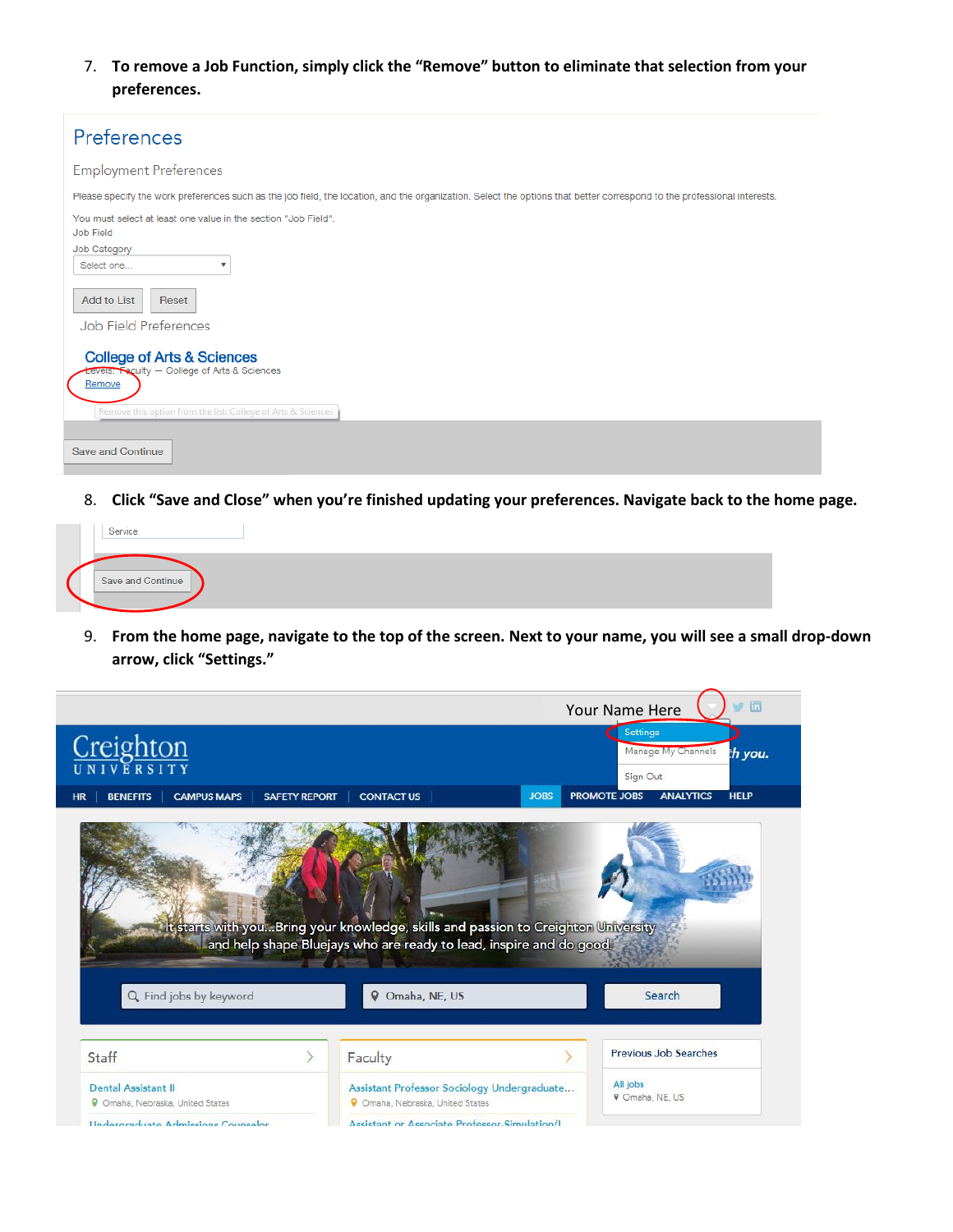7. **To remove a Job Function, simply click the "Remove" button to eliminate that selection from your preferences.** 

| Preferences                                                                                                                                                             |
|-------------------------------------------------------------------------------------------------------------------------------------------------------------------------|
| <b>Employment Preferences</b>                                                                                                                                           |
| Please specify the work preferences such as the job field, the location, and the organization. Select the options that better correspond to the professional interests. |
| You must select at least one value in the section "Job Field".<br>Job Field                                                                                             |
| Job Category<br>Select one<br>v                                                                                                                                         |
| <b>Add to List</b><br>Reset<br><b>Job Field Preferences</b>                                                                                                             |
| <b>College of Arts &amp; Sciences</b><br>Levels. Faculty - College of Arts & Sciences<br>Remove<br>Remove this option from the list: College of Arts & Sciences         |
| <b>Save and Continue</b>                                                                                                                                                |

8. **Click "Save and Close" when you're finished updating your preferences. Navigate back to the home page.**

| Service           |  |  |  |
|-------------------|--|--|--|
| Save and Continue |  |  |  |
|                   |  |  |  |

9. **From the home page, navigate to the top of the screen. Next to your name, you will see a small drop-down arrow, click "Settings."**